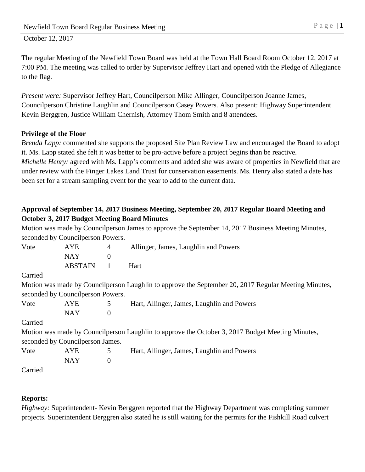The regular Meeting of the Newfield Town Board was held at the Town Hall Board Room October 12, 2017 at 7:00 PM. The meeting was called to order by Supervisor Jeffrey Hart and opened with the Pledge of Allegiance to the flag.

*Present were:* Supervisor Jeffrey Hart, Councilperson Mike Allinger, Councilperson Joanne James, Councilperson Christine Laughlin and Councilperson Casey Powers. Also present: Highway Superintendent Kevin Berggren, Justice William Chernish, Attorney Thom Smith and 8 attendees.

## **Privilege of the Floor**

*Brenda Lapp:* commented she supports the proposed Site Plan Review Law and encouraged the Board to adopt it. Ms. Lapp stated she felt it was better to be pro-active before a project begins than be reactive. *Michelle Henry:* agreed with Ms. Lapp's comments and added she was aware of properties in Newfield that are under review with the Finger Lakes Land Trust for conservation easements. Ms. Henry also stated a date has been set for a stream sampling event for the year to add to the current data.

# **Approval of September 14, 2017 Business Meeting, September 20, 2017 Regular Board Meeting and October 3, 2017 Budget Meeting Board Minutes**

Motion was made by Councilperson James to approve the September 14, 2017 Business Meeting Minutes, seconded by Councilperson Powers.

| Vote    | AYE                                | 4                | Allinger, James, Laughlin and Powers                                                                 |
|---------|------------------------------------|------------------|------------------------------------------------------------------------------------------------------|
|         | <b>NAY</b>                         | $\boldsymbol{0}$ |                                                                                                      |
|         | <b>ABSTAIN</b>                     |                  | Hart                                                                                                 |
| Carried |                                    |                  |                                                                                                      |
|         |                                    |                  | Motion was made by Councilperson Laughlin to approve the September 20, 2017 Regular Meeting Minutes, |
|         | seconded by Council person Powers. |                  |                                                                                                      |
| Vote    | <b>AYE</b>                         | 5                | Hart, Allinger, James, Laughlin and Powers                                                           |
|         | <b>NAY</b>                         | $\theta$         |                                                                                                      |
| Carried |                                    |                  |                                                                                                      |
|         |                                    |                  | Motion was made by Councilperson Laughlin to approve the October 3, 2017 Budget Meeting Minutes,     |
|         | seconded by Council person James.  |                  |                                                                                                      |
| Vote    | <b>AYE</b>                         | 5                | Hart, Allinger, James, Laughlin and Powers                                                           |
|         | <b>NAY</b>                         | $\boldsymbol{0}$ |                                                                                                      |
| Carried |                                    |                  |                                                                                                      |

### **Reports:**

*Highway:* Superintendent*-* Kevin Berggren reported that the Highway Department was completing summer projects. Superintendent Berggren also stated he is still waiting for the permits for the Fishkill Road culvert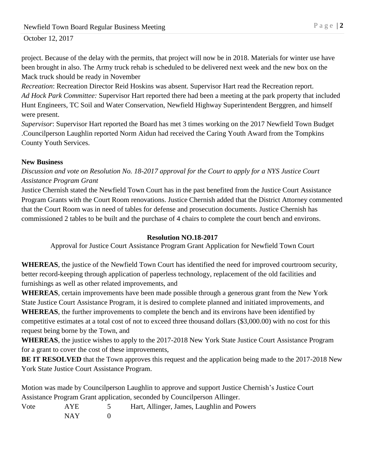October 12, 2017

project. Because of the delay with the permits, that project will now be in 2018. Materials for winter use have been brought in also. The Army truck rehab is scheduled to be delivered next week and the new box on the Mack truck should be ready in November

*Recreation*: Recreation Director Reid Hoskins was absent. Supervisor Hart read the Recreation report. *Ad Hock Park Committee:* Supervisor Hart reported there had been a meeting at the park property that included Hunt Engineers, TC Soil and Water Conservation, Newfield Highway Superintendent Berggren, and himself were present.

*Supervisor*: Supervisor Hart reported the Board has met 3 times working on the 2017 Newfield Town Budget .Councilperson Laughlin reported Norm Aidun had received the Caring Youth Award from the Tompkins County Youth Services.

### **New Business**

*Discussion and vote on Resolution No. 18-2017 approval for the Court to apply for a NYS Justice Court Assistance Program Grant*

Justice Chernish stated the Newfield Town Court has in the past benefited from the Justice Court Assistance Program Grants with the Court Room renovations. Justice Chernish added that the District Attorney commented that the Court Room was in need of tables for defense and prosecution documents. Justice Chernish has commissioned 2 tables to be built and the purchase of 4 chairs to complete the court bench and environs.

#### **Resolution NO.18-2017**

Approval for Justice Court Assistance Program Grant Application for Newfield Town Court

**WHEREAS**, the justice of the Newfield Town Court has identified the need for improved courtroom security, better record-keeping through application of paperless technology, replacement of the old facilities and furnishings as well as other related improvements, and

**WHEREAS**, certain improvements have been made possible through a generous grant from the New York State Justice Court Assistance Program, it is desired to complete planned and initiated improvements, and **WHEREAS**, the further improvements to complete the bench and its environs have been identified by competitive estimates at a total cost of not to exceed three thousand dollars (\$3,000.00) with no cost for this request being borne by the Town, and

**WHEREAS**, the justice wishes to apply to the 2017-2018 New York State Justice Court Assistance Program for a grant to cover the cost of these improvements,

**BE IT RESOLVED** that the Town approves this request and the application being made to the 2017-2018 New York State Justice Court Assistance Program.

Motion was made by Councilperson Laughlin to approve and support Justice Chernish's Justice Court Assistance Program Grant application, seconded by Councilperson Allinger.

| Vote | <b>AYE</b> | Hart, Allinger, James, Laughlin and Powers |
|------|------------|--------------------------------------------|
|      | NAY        |                                            |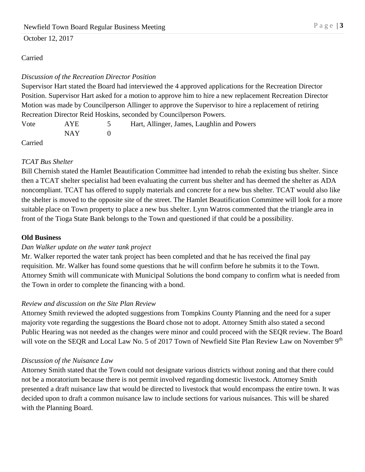October 12, 2017

### Carried

## *Discussion of the Recreation Director Position*

Supervisor Hart stated the Board had interviewed the 4 approved applications for the Recreation Director Position. Supervisor Hart asked for a motion to approve him to hire a new replacement Recreation Director Motion was made by Councilperson Allinger to approve the Supervisor to hire a replacement of retiring Recreation Director Reid Hoskins, seconded by Councilperson Powers.

| Vote | <b>AYE</b> | Hart, Allinger, James, Laughlin and Powers |
|------|------------|--------------------------------------------|
|      | NAY 1      |                                            |
|      |            |                                            |

Carried

## *TCAT Bus Shelter*

Bill Chernish stated the Hamlet Beautification Committee had intended to rehab the existing bus shelter. Since then a TCAT shelter specialist had been evaluating the current bus shelter and has deemed the shelter as ADA noncompliant. TCAT has offered to supply materials and concrete for a new bus shelter. TCAT would also like the shelter is moved to the opposite site of the street. The Hamlet Beautification Committee will look for a more suitable place on Town property to place a new bus shelter. Lynn Watros commented that the triangle area in front of the Tioga State Bank belongs to the Town and questioned if that could be a possibility.

### **Old Business**

### *Dan Walker update on the water tank project*

Mr. Walker reported the water tank project has been completed and that he has received the final pay requisition. Mr. Walker has found some questions that he will confirm before he submits it to the Town. Attorney Smith will communicate with Municipal Solutions the bond company to confirm what is needed from the Town in order to complete the financing with a bond.

# *Review and discussion on the Site Plan Review*

Attorney Smith reviewed the adopted suggestions from Tompkins County Planning and the need for a super majority vote regarding the suggestions the Board chose not to adopt. Attorney Smith also stated a second Public Hearing was not needed as the changes were minor and could proceed with the SEQR review. The Board will vote on the SEQR and Local Law No. 5 of 2017 Town of Newfield Site Plan Review Law on November 9<sup>th</sup>

### *Discussion of the Nuisance Law*

Attorney Smith stated that the Town could not designate various districts without zoning and that there could not be a moratorium because there is not permit involved regarding domestic livestock. Attorney Smith presented a draft nuisance law that would be directed to livestock that would encompass the entire town. It was decided upon to draft a common nuisance law to include sections for various nuisances. This will be shared with the Planning Board.